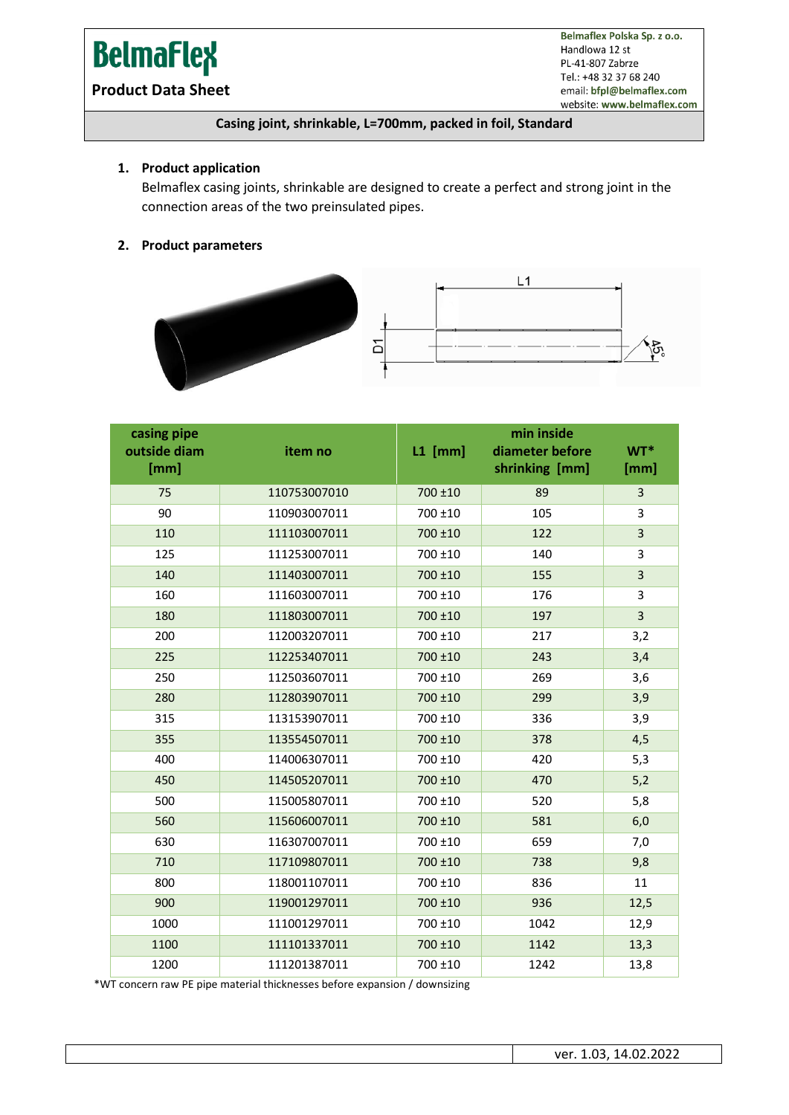# **BelmaFlex**

Belmaflex Polska Sp. z o.o. Handlowa 12 st PL-41-807 Zabrze Tel.: +48 32 37 68 240 email: bfpl@belmaflex.com website: www.belmaflex.com

### **Product Data Sheet**

#### **Casing joint, shrinkable, L=700mm, packed in foil, Standard**

#### **1. Product application**

Belmaflex casing joints, shrinkable are designed to create a perfect and strong joint in the connection areas of the two preinsulated pipes.

#### **2. Product parameters**



| casing pipe<br>outside diam<br>[mm] | item no      | $L1$ [mm] | min inside<br>diameter before<br>shrinking [mm] | $WT^*$<br>[mm] |
|-------------------------------------|--------------|-----------|-------------------------------------------------|----------------|
| 75                                  | 110753007010 | 700 ±10   | 89                                              | 3              |
| 90                                  | 110903007011 | 700 ±10   | 105                                             | 3              |
| 110                                 | 111103007011 | 700 ±10   | 122                                             | $\overline{3}$ |
| 125                                 | 111253007011 | 700 ±10   | 140                                             | 3              |
| 140                                 | 111403007011 | 700 ±10   | 155                                             | 3              |
| 160                                 | 111603007011 | 700 ±10   | 176                                             | 3              |
| 180                                 | 111803007011 | 700 ±10   | 197                                             | $\overline{3}$ |
| 200                                 | 112003207011 | 700 ±10   | 217                                             | 3,2            |
| 225                                 | 112253407011 | 700 ±10   | 243                                             | 3,4            |
| 250                                 | 112503607011 | 700 ±10   | 269                                             | 3,6            |
| 280                                 | 112803907011 | 700 ±10   | 299                                             | 3,9            |
| 315                                 | 113153907011 | 700 ±10   | 336                                             | 3,9            |
| 355                                 | 113554507011 | 700 ±10   | 378                                             | 4,5            |
| 400                                 | 114006307011 | 700 ±10   | 420                                             | 5,3            |
| 450                                 | 114505207011 | 700 ±10   | 470                                             | 5,2            |
| 500                                 | 115005807011 | 700 ±10   | 520                                             | 5,8            |
| 560                                 | 115606007011 | 700 ±10   | 581                                             | 6,0            |
| 630                                 | 116307007011 | 700 ±10   | 659                                             | 7,0            |
| 710                                 | 117109807011 | 700 ±10   | 738                                             | 9,8            |
| 800                                 | 118001107011 | 700 ±10   | 836                                             | 11             |
| 900                                 | 119001297011 | 700 ±10   | 936                                             | 12,5           |
| 1000                                | 111001297011 | 700 ±10   | 1042                                            | 12,9           |
| 1100                                | 111101337011 | 700 ±10   | 1142                                            | 13,3           |
| 1200                                | 111201387011 | 700 ±10   | 1242                                            | 13,8           |

\*WT concern raw PE pipe material thicknesses before expansion / downsizing